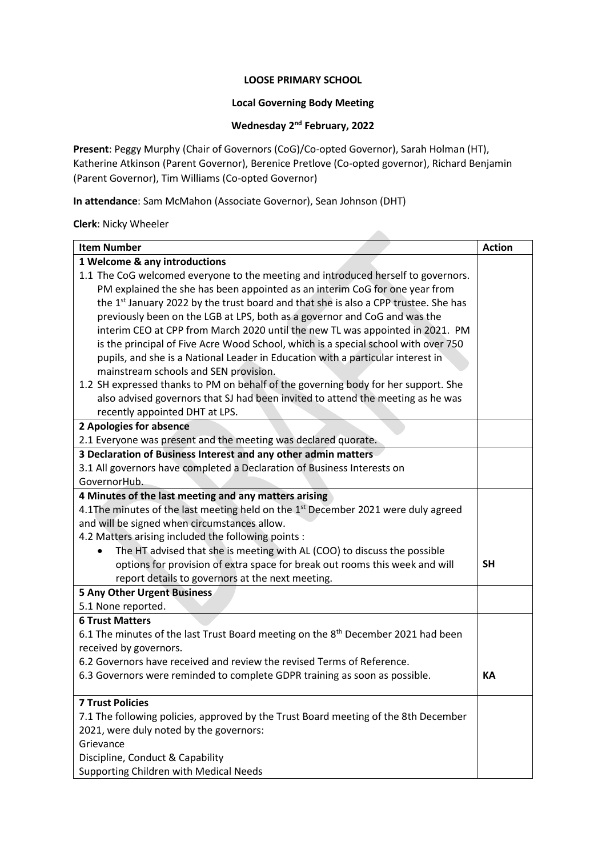#### **LOOSE PRIMARY SCHOOL**

### **Local Governing Body Meeting**

#### **Wednesday 2 nd February, 2022**

**Present**: Peggy Murphy (Chair of Governors (CoG)/Co-opted Governor), Sarah Holman (HT), Katherine Atkinson (Parent Governor), Berenice Pretlove (Co-opted governor), Richard Benjamin (Parent Governor), Tim Williams (Co-opted Governor)

**In attendance**: Sam McMahon (Associate Governor), Sean Johnson (DHT)

#### **Clerk**: Nicky Wheeler

| <b>Item Number</b>                                                                              | <b>Action</b> |  |
|-------------------------------------------------------------------------------------------------|---------------|--|
| 1 Welcome & any introductions                                                                   |               |  |
| 1.1 The CoG welcomed everyone to the meeting and introduced herself to governors.               |               |  |
| PM explained the she has been appointed as an interim CoG for one year from                     |               |  |
| the 1 <sup>st</sup> January 2022 by the trust board and that she is also a CPP trustee. She has |               |  |
| previously been on the LGB at LPS, both as a governor and CoG and was the                       |               |  |
| interim CEO at CPP from March 2020 until the new TL was appointed in 2021. PM                   |               |  |
| is the principal of Five Acre Wood School, which is a special school with over 750              |               |  |
| pupils, and she is a National Leader in Education with a particular interest in                 |               |  |
| mainstream schools and SEN provision.                                                           |               |  |
| 1.2 SH expressed thanks to PM on behalf of the governing body for her support. She              |               |  |
| also advised governors that SJ had been invited to attend the meeting as he was                 |               |  |
| recently appointed DHT at LPS.                                                                  |               |  |
| 2 Apologies for absence                                                                         |               |  |
| 2.1 Everyone was present and the meeting was declared quorate.                                  |               |  |
| 3 Declaration of Business Interest and any other admin matters                                  |               |  |
| 3.1 All governors have completed a Declaration of Business Interests on                         |               |  |
| GovernorHub.                                                                                    |               |  |
| 4 Minutes of the last meeting and any matters arising                                           |               |  |
| 4.1The minutes of the last meeting held on the 1 <sup>st</sup> December 2021 were duly agreed   |               |  |
| and will be signed when circumstances allow.                                                    |               |  |
| 4.2 Matters arising included the following points :                                             |               |  |
| The HT advised that she is meeting with AL (COO) to discuss the possible                        |               |  |
| options for provision of extra space for break out rooms this week and will                     | <b>SH</b>     |  |
| report details to governors at the next meeting.                                                |               |  |
| <b>5 Any Other Urgent Business</b>                                                              |               |  |
| 5.1 None reported.                                                                              |               |  |
| <b>6 Trust Matters</b>                                                                          |               |  |
| 6.1 The minutes of the last Trust Board meeting on the 8 <sup>th</sup> December 2021 had been   |               |  |
| received by governors.                                                                          |               |  |
| 6.2 Governors have received and review the revised Terms of Reference.                          |               |  |
| 6.3 Governors were reminded to complete GDPR training as soon as possible.                      | KA            |  |
|                                                                                                 |               |  |
| <b>7 Trust Policies</b>                                                                         |               |  |
| 7.1 The following policies, approved by the Trust Board meeting of the 8th December             |               |  |
| 2021, were duly noted by the governors:                                                         |               |  |
| Grievance                                                                                       |               |  |
| Discipline, Conduct & Capability                                                                |               |  |
| Supporting Children with Medical Needs                                                          |               |  |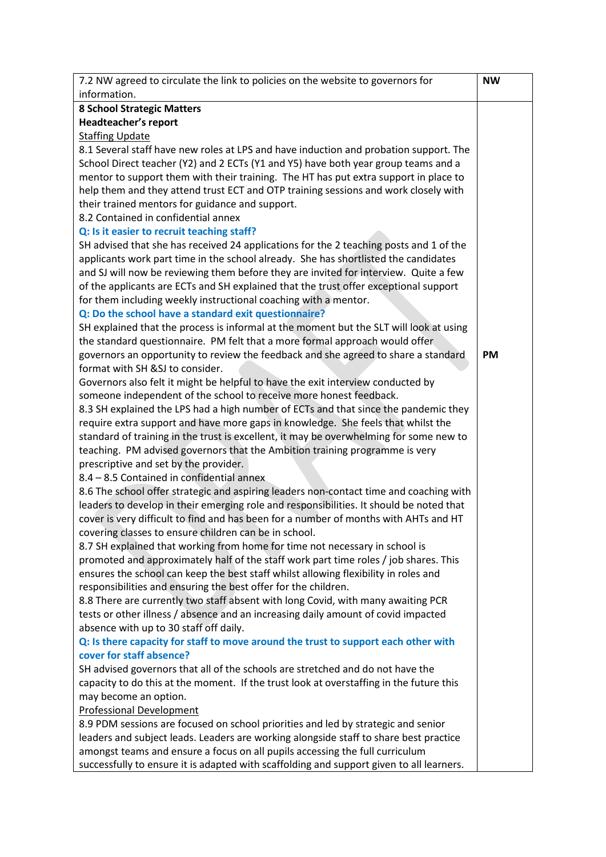| 7.2 NW agreed to circulate the link to policies on the website to governors for                                                                       | <b>NW</b> |
|-------------------------------------------------------------------------------------------------------------------------------------------------------|-----------|
| information.                                                                                                                                          |           |
| <b>8 School Strategic Matters</b>                                                                                                                     |           |
| Headteacher's report                                                                                                                                  |           |
| <b>Staffing Update</b>                                                                                                                                |           |
| 8.1 Several staff have new roles at LPS and have induction and probation support. The                                                                 |           |
| School Direct teacher (Y2) and 2 ECTs (Y1 and Y5) have both year group teams and a                                                                    |           |
| mentor to support them with their training. The HT has put extra support in place to                                                                  |           |
| help them and they attend trust ECT and OTP training sessions and work closely with                                                                   |           |
| their trained mentors for guidance and support.                                                                                                       |           |
| 8.2 Contained in confidential annex                                                                                                                   |           |
| Q: Is it easier to recruit teaching staff?                                                                                                            |           |
| SH advised that she has received 24 applications for the 2 teaching posts and 1 of the                                                                |           |
| applicants work part time in the school already. She has shortlisted the candidates                                                                   |           |
| and SJ will now be reviewing them before they are invited for interview. Quite a few                                                                  |           |
| of the applicants are ECTs and SH explained that the trust offer exceptional support                                                                  |           |
| for them including weekly instructional coaching with a mentor.                                                                                       |           |
| Q: Do the school have a standard exit questionnaire?                                                                                                  |           |
| SH explained that the process is informal at the moment but the SLT will look at using                                                                |           |
| the standard questionnaire. PM felt that a more formal approach would offer                                                                           |           |
| governors an opportunity to review the feedback and she agreed to share a standard                                                                    | <b>PM</b> |
| format with SH &SJ to consider.                                                                                                                       |           |
| Governors also felt it might be helpful to have the exit interview conducted by<br>someone independent of the school to receive more honest feedback. |           |
| 8.3 SH explained the LPS had a high number of ECTs and that since the pandemic they                                                                   |           |
| require extra support and have more gaps in knowledge. She feels that whilst the                                                                      |           |
| standard of training in the trust is excellent, it may be overwhelming for some new to                                                                |           |
| teaching. PM advised governors that the Ambition training programme is very                                                                           |           |
| prescriptive and set by the provider.                                                                                                                 |           |
| 8.4 - 8.5 Contained in confidential annex                                                                                                             |           |
| 8.6 The school offer strategic and aspiring leaders non-contact time and coaching with                                                                |           |
| leaders to develop in their emerging role and responsibilities. It should be noted that                                                               |           |
| cover is very difficult to find and has been for a number of months with AHTs and HT                                                                  |           |
| covering classes to ensure children can be in school.                                                                                                 |           |
| 8.7 SH explained that working from home for time not necessary in school is                                                                           |           |
| promoted and approximately half of the staff work part time roles / job shares. This                                                                  |           |
| ensures the school can keep the best staff whilst allowing flexibility in roles and                                                                   |           |
| responsibilities and ensuring the best offer for the children.                                                                                        |           |
| 8.8 There are currently two staff absent with long Covid, with many awaiting PCR                                                                      |           |
| tests or other illness / absence and an increasing daily amount of covid impacted                                                                     |           |
| absence with up to 30 staff off daily.                                                                                                                |           |
| Q: Is there capacity for staff to move around the trust to support each other with                                                                    |           |
| cover for staff absence?                                                                                                                              |           |
| SH advised governors that all of the schools are stretched and do not have the                                                                        |           |
| capacity to do this at the moment. If the trust look at overstaffing in the future this                                                               |           |
| may become an option.                                                                                                                                 |           |
| <b>Professional Development</b>                                                                                                                       |           |
| 8.9 PDM sessions are focused on school priorities and led by strategic and senior                                                                     |           |
| leaders and subject leads. Leaders are working alongside staff to share best practice                                                                 |           |
| amongst teams and ensure a focus on all pupils accessing the full curriculum                                                                          |           |
| successfully to ensure it is adapted with scaffolding and support given to all learners.                                                              |           |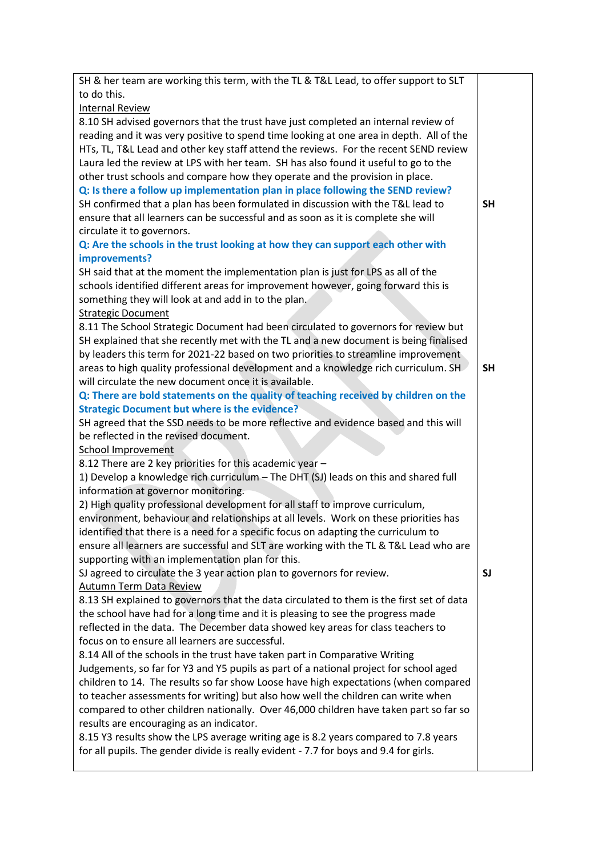| SH & her team are working this term, with the TL & T&L Lead, to offer support to SLT     |           |
|------------------------------------------------------------------------------------------|-----------|
| to do this.                                                                              |           |
| <b>Internal Review</b>                                                                   |           |
| 8.10 SH advised governors that the trust have just completed an internal review of       |           |
| reading and it was very positive to spend time looking at one area in depth. All of the  |           |
| HTs, TL, T&L Lead and other key staff attend the reviews. For the recent SEND review     |           |
| Laura led the review at LPS with her team. SH has also found it useful to go to the      |           |
| other trust schools and compare how they operate and the provision in place.             |           |
| Q: Is there a follow up implementation plan in place following the SEND review?          |           |
| SH confirmed that a plan has been formulated in discussion with the T&L lead to          | <b>SH</b> |
| ensure that all learners can be successful and as soon as it is complete she will        |           |
| circulate it to governors.                                                               |           |
| Q: Are the schools in the trust looking at how they can support each other with          |           |
| improvements?                                                                            |           |
| SH said that at the moment the implementation plan is just for LPS as all of the         |           |
| schools identified different areas for improvement however, going forward this is        |           |
| something they will look at and add in to the plan.                                      |           |
| <b>Strategic Document</b>                                                                |           |
| 8.11 The School Strategic Document had been circulated to governors for review but       |           |
| SH explained that she recently met with the TL and a new document is being finalised     |           |
| by leaders this term for 2021-22 based on two priorities to streamline improvement       |           |
| areas to high quality professional development and a knowledge rich curriculum. SH       | <b>SH</b> |
| will circulate the new document once it is available.                                    |           |
| Q: There are bold statements on the quality of teaching received by children on the      |           |
| <b>Strategic Document but where is the evidence?</b>                                     |           |
| SH agreed that the SSD needs to be more reflective and evidence based and this will      |           |
| be reflected in the revised document.                                                    |           |
| <b>School Improvement</b>                                                                |           |
| 8.12 There are 2 key priorities for this academic year -                                 |           |
| 1) Develop a knowledge rich curriculum - The DHT (SJ) leads on this and shared full      |           |
| information at governor monitoring.                                                      |           |
| 2) High quality professional development for all staff to improve curriculum,            |           |
| environment, behaviour and relationships at all levels. Work on these priorities has     |           |
| identified that there is a need for a specific focus on adapting the curriculum to       |           |
| ensure all learners are successful and SLT are working with the TL & T&L Lead who are    |           |
| supporting with an implementation plan for this.                                         |           |
| SJ agreed to circulate the 3 year action plan to governors for review.                   | <b>SJ</b> |
| Autumn Term Data Review                                                                  |           |
| 8.13 SH explained to governors that the data circulated to them is the first set of data |           |
| the school have had for a long time and it is pleasing to see the progress made          |           |
| reflected in the data. The December data showed key areas for class teachers to          |           |
| focus on to ensure all learners are successful.                                          |           |
| 8.14 All of the schools in the trust have taken part in Comparative Writing              |           |
| Judgements, so far for Y3 and Y5 pupils as part of a national project for school aged    |           |
| children to 14. The results so far show Loose have high expectations (when compared      |           |
| to teacher assessments for writing) but also how well the children can write when        |           |
| compared to other children nationally. Over 46,000 children have taken part so far so    |           |
| results are encouraging as an indicator.                                                 |           |
| 8.15 Y3 results show the LPS average writing age is 8.2 years compared to 7.8 years      |           |
| for all pupils. The gender divide is really evident - 7.7 for boys and 9.4 for girls.    |           |
|                                                                                          |           |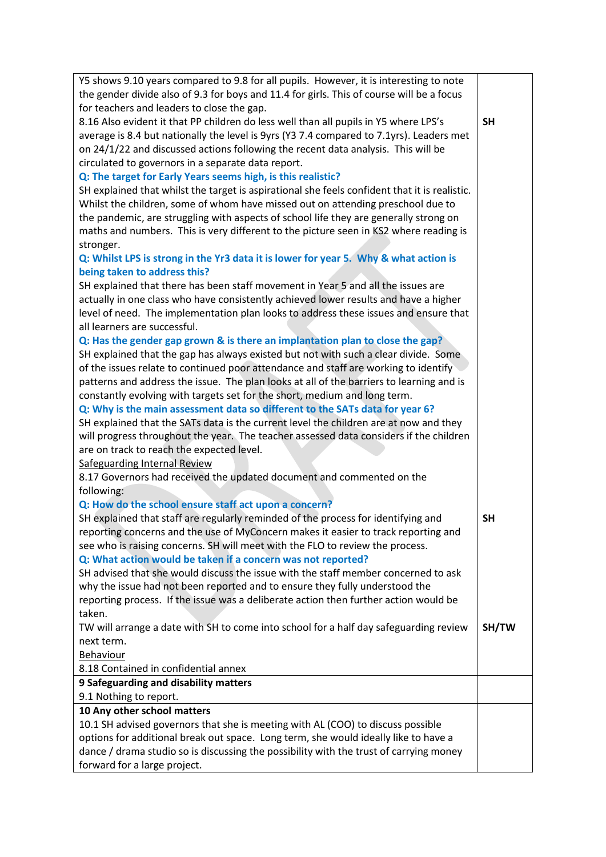| Y5 shows 9.10 years compared to 9.8 for all pupils. However, it is interesting to note        |           |
|-----------------------------------------------------------------------------------------------|-----------|
| the gender divide also of 9.3 for boys and 11.4 for girls. This of course will be a focus     |           |
| for teachers and leaders to close the gap.                                                    |           |
| 8.16 Also evident it that PP children do less well than all pupils in Y5 where LPS's          | <b>SH</b> |
| average is 8.4 but nationally the level is 9yrs (Y3 7.4 compared to 7.1yrs). Leaders met      |           |
| on 24/1/22 and discussed actions following the recent data analysis. This will be             |           |
| circulated to governors in a separate data report.                                            |           |
| Q: The target for Early Years seems high, is this realistic?                                  |           |
| SH explained that whilst the target is aspirational she feels confident that it is realistic. |           |
| Whilst the children, some of whom have missed out on attending preschool due to               |           |
| the pandemic, are struggling with aspects of school life they are generally strong on         |           |
| maths and numbers. This is very different to the picture seen in KS2 where reading is         |           |
| stronger.                                                                                     |           |
| Q: Whilst LPS is strong in the Yr3 data it is lower for year 5. Why & what action is          |           |
| being taken to address this?                                                                  |           |
| SH explained that there has been staff movement in Year 5 and all the issues are              |           |
| actually in one class who have consistently achieved lower results and have a higher          |           |
| level of need. The implementation plan looks to address these issues and ensure that          |           |
| all learners are successful.                                                                  |           |
| Q: Has the gender gap grown & is there an implantation plan to close the gap?                 |           |
| SH explained that the gap has always existed but not with such a clear divide. Some           |           |
| of the issues relate to continued poor attendance and staff are working to identify           |           |
| patterns and address the issue. The plan looks at all of the barriers to learning and is      |           |
| constantly evolving with targets set for the short, medium and long term.                     |           |
| Q: Why is the main assessment data so different to the SATs data for year 6?                  |           |
| SH explained that the SATs data is the current level the children are at now and they         |           |
| will progress throughout the year. The teacher assessed data considers if the children        |           |
| are on track to reach the expected level.                                                     |           |
| <b>Safeguarding Internal Review</b>                                                           |           |
| 8.17 Governors had received the updated document and commented on the                         |           |
| following:                                                                                    |           |
| Q: How do the school ensure staff act upon a concern?                                         |           |
| SH explained that staff are regularly reminded of the process for identifying and             | <b>SH</b> |
| reporting concerns and the use of MyConcern makes it easier to track reporting and            |           |
| see who is raising concerns. SH will meet with the FLO to review the process.                 |           |
| Q: What action would be taken if a concern was not reported?                                  |           |
| SH advised that she would discuss the issue with the staff member concerned to ask            |           |
| why the issue had not been reported and to ensure they fully understood the                   |           |
| reporting process. If the issue was a deliberate action then further action would be          |           |
| taken.                                                                                        |           |
| TW will arrange a date with SH to come into school for a half day safeguarding review         | SH/TW     |
| next term.                                                                                    |           |
| Behaviour                                                                                     |           |
| 8.18 Contained in confidential annex                                                          |           |
| 9 Safeguarding and disability matters                                                         |           |
| 9.1 Nothing to report.                                                                        |           |
| 10 Any other school matters                                                                   |           |
| 10.1 SH advised governors that she is meeting with AL (COO) to discuss possible               |           |
| options for additional break out space. Long term, she would ideally like to have a           |           |
| dance / drama studio so is discussing the possibility with the trust of carrying money        |           |
| forward for a large project.                                                                  |           |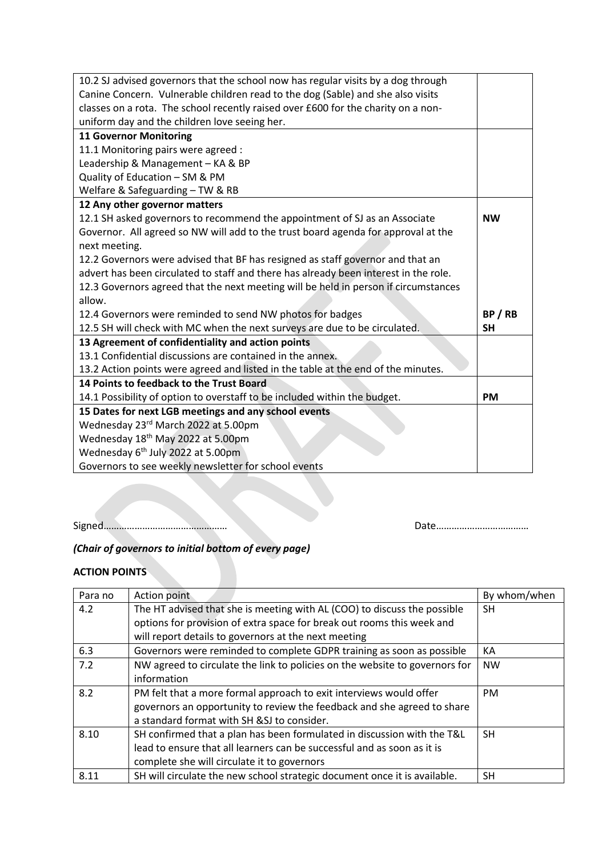| 10.2 SJ advised governors that the school now has regular visits by a dog through    |           |
|--------------------------------------------------------------------------------------|-----------|
| Canine Concern. Vulnerable children read to the dog (Sable) and she also visits      |           |
| classes on a rota. The school recently raised over £600 for the charity on a non-    |           |
| uniform day and the children love seeing her.                                        |           |
| <b>11 Governor Monitoring</b>                                                        |           |
| 11.1 Monitoring pairs were agreed :                                                  |           |
| Leadership & Management - KA & BP                                                    |           |
| Quality of Education - SM & PM                                                       |           |
| Welfare & Safeguarding - TW & RB                                                     |           |
| 12 Any other governor matters                                                        |           |
| 12.1 SH asked governors to recommend the appointment of SJ as an Associate           | <b>NW</b> |
| Governor. All agreed so NW will add to the trust board agenda for approval at the    |           |
| next meeting.                                                                        |           |
| 12.2 Governors were advised that BF has resigned as staff governor and that an       |           |
| advert has been circulated to staff and there has already been interest in the role. |           |
| 12.3 Governors agreed that the next meeting will be held in person if circumstances  |           |
| allow.                                                                               |           |
| 12.4 Governors were reminded to send NW photos for badges                            | BP/RB     |
| 12.5 SH will check with MC when the next surveys are due to be circulated.           | <b>SH</b> |
| 13 Agreement of confidentiality and action points                                    |           |
| 13.1 Confidential discussions are contained in the annex.                            |           |
| 13.2 Action points were agreed and listed in the table at the end of the minutes.    |           |
| 14 Points to feedback to the Trust Board                                             |           |
| 14.1 Possibility of option to overstaff to be included within the budget.            | <b>PM</b> |
| 15 Dates for next LGB meetings and any school events                                 |           |
| Wednesday 23rd March 2022 at 5.00pm                                                  |           |
| Wednesday 18 <sup>th</sup> May 2022 at 5.00pm                                        |           |
| Wednesday 6 <sup>th</sup> July 2022 at 5.00pm                                        |           |
| Governors to see weekly newsletter for school events                                 |           |

Signed………………………………………… Date………………………………

# *(Chair of governors to initial bottom of every page)*

## **ACTION POINTS**

| Para no | Action point                                                                | By whom/when |
|---------|-----------------------------------------------------------------------------|--------------|
| 4.2     | The HT advised that she is meeting with AL (COO) to discuss the possible    | <b>SH</b>    |
|         | options for provision of extra space for break out rooms this week and      |              |
|         | will report details to governors at the next meeting                        |              |
| 6.3     | Governors were reminded to complete GDPR training as soon as possible       | KА           |
| 7.2     | NW agreed to circulate the link to policies on the website to governors for | <b>NW</b>    |
|         | information                                                                 |              |
| 8.2     | PM felt that a more formal approach to exit interviews would offer          | <b>PM</b>    |
|         | governors an opportunity to review the feedback and she agreed to share     |              |
|         | a standard format with SH & SJ to consider.                                 |              |
| 8.10    | SH confirmed that a plan has been formulated in discussion with the T&L     | <b>SH</b>    |
|         | lead to ensure that all learners can be successful and as soon as it is     |              |
|         | complete she will circulate it to governors                                 |              |
| 8.11    | SH will circulate the new school strategic document once it is available.   | <b>SH</b>    |